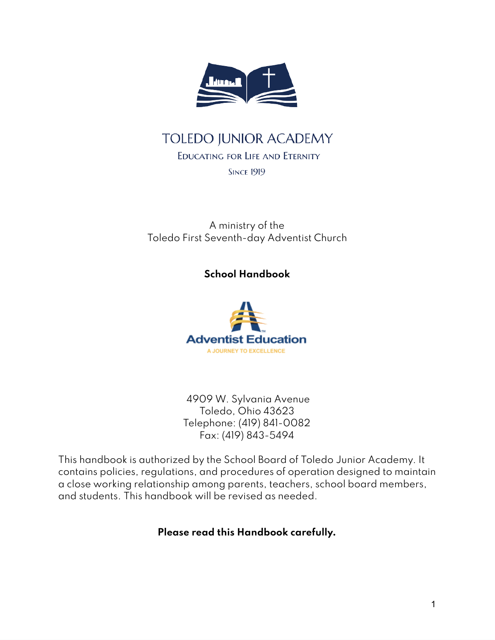

# **TOLEDO JUNIOR ACADEMY**

#### EDUCATING FOR LIFE AND ETERNITY

**SINCE 1919** 

A ministry of the Toledo First Seventh-day Adventist Church

**School Handbook**



4909 W. Sylvania Avenue Toledo, Ohio 43623 Telephone: (419) 841-0082 Fax: (419) 843-5494

This handbook is authorized by the School Board of Toledo Junior Academy. It contains policies, regulations, and procedures of operation designed to maintain a close working relationship among parents, teachers, school board members, and students. This handbook will be revised as needed.

### **Please read this Handbook carefully.**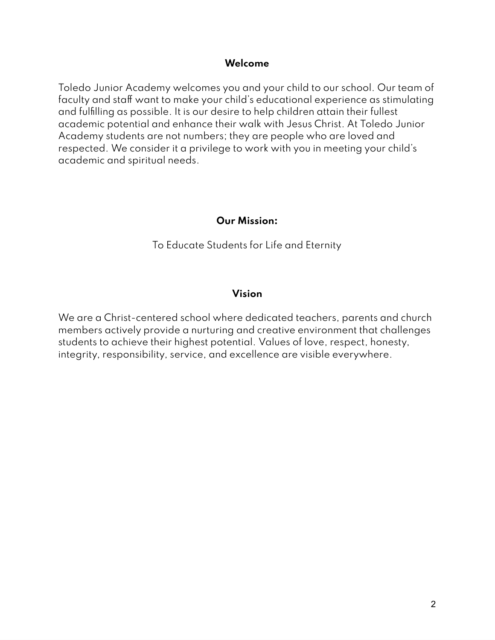#### **Welcome**

Toledo Junior Academy welcomes you and your child to our school. Our team of faculty and staff want to make your child's educational experience as stimulating and fulfilling as possible. It is our desire to help children attain their fullest academic potential and enhance their walk with Jesus Christ. At Toledo Junior Academy students are not numbers; they are people who are loved and respected. We consider it a privilege to work with you in meeting your child's academic and spiritual needs.

#### **Our Mission:**

To Educate Students for Life and Eternity

#### **Vision**

We are a Christ-centered school where dedicated teachers, parents and church members actively provide a nurturing and creative environment that challenges students to achieve their highest potential. Values of love, respect, honesty, integrity, responsibility, service, and excellence are visible everywhere.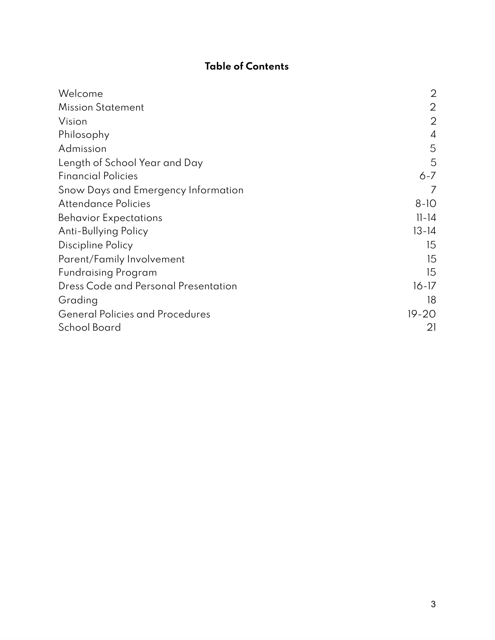## **Table of Contents**

| Welcome                                | $\overline{2}$ |
|----------------------------------------|----------------|
| <b>Mission Statement</b>               | $\overline{2}$ |
| Vision                                 | $\overline{2}$ |
| Philosophy                             | 4              |
| Admission                              | 5              |
| Length of School Year and Day          | 5              |
| <b>Financial Policies</b>              | 6-7            |
| Snow Days and Emergency Information    |                |
| Attendance Policies                    | $8-10$         |
| <b>Behavior Expectations</b>           | $ 1 - 4 $      |
| Anti-Bullying Policy                   | $13 - 14$      |
| <b>Discipline Policy</b>               | 15             |
| Parent/Family Involvement              | 15             |
| <b>Fundraising Program</b>             | 15             |
| Dress Code and Personal Presentation   | $16 - 17$      |
| Grading                                | 18             |
| <b>General Policies and Procedures</b> | $19 - 20$      |
| School Board                           | 21             |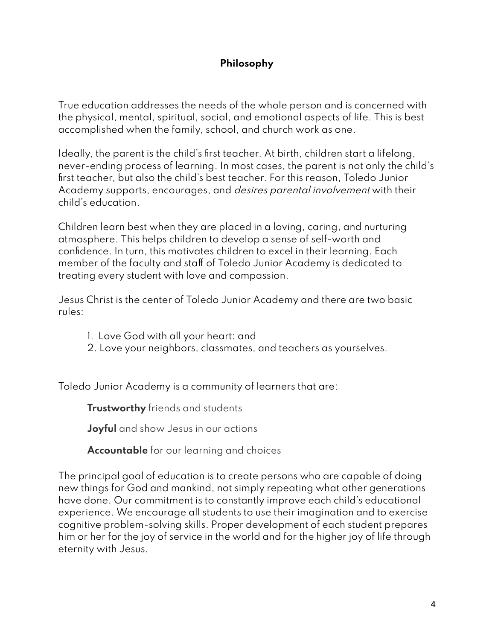## **Philosophy**

True education addresses the needs of the whole person and is concerned with the physical, mental, spiritual, social, and emotional aspects of life. This is best accomplished when the family, school, and church work as one.

Ideally, the parent is the child's first teacher. At birth, children start a lifelong, never-ending process of learning. In most cases, the parent is not only the child's first teacher, but also the child's best teacher. For this reason, Toledo Junior Academy supports, encourages, and desires parental involvement with their child's education.

Children learn best when they are placed in a loving, caring, and nurturing atmosphere. This helps children to develop a sense of self-worth and confidence. In turn, this motivates children to excel in their learning. Each member of the faculty and staff of Toledo Junior Academy is dedicated to treating every student with love and compassion.

Jesus Christ is the center of Toledo Junior Academy and there are two basic rules:

- 1. Love God with all your heart: and
- 2. Love your neighbors, classmates, and teachers as yourselves.

Toledo Junior Academy is a community of learners that are:

**Trustworthy** friends and students

**Joyful** and show Jesus in our actions

**Accountable** for our learning and choices

The principal goal of education is to create persons who are capable of doing new things for God and mankind, not simply repeating what other generations have done. Our commitment is to constantly improve each child's educational experience. We encourage all students to use their imagination and to exercise cognitive problem-solving skills. Proper development of each student prepares him or her for the joy of service in the world and for the higher joy of life through eternity with Jesus.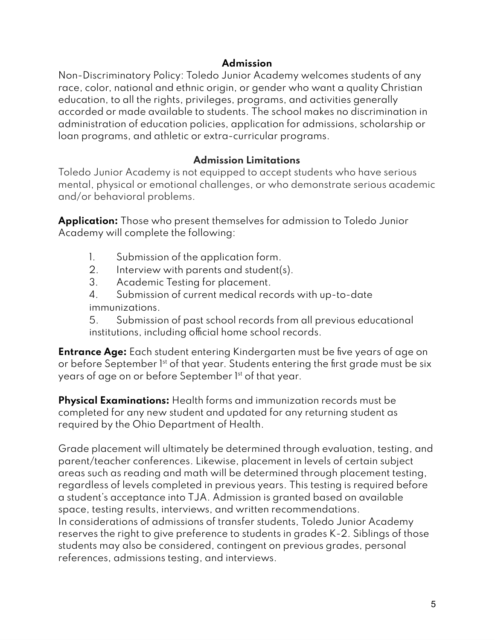#### **Admission**

Non-Discriminatory Policy: Toledo Junior Academy welcomes students of any race, color, national and ethnic origin, or gender who want a quality Christian education, to all the rights, privileges, programs, and activities generally accorded or made available to students. The school makes no discrimination in administration of education policies, application for admissions, scholarship or loan programs, and athletic or extra-curricular programs.

### **Admission Limitations**

Toledo Junior Academy is not equipped to accept students who have serious mental, physical or emotional challenges, or who demonstrate serious academic and/or behavioral problems.

**Application:** Those who present themselves for admission to Toledo Junior Academy will complete the following:

- 1. Submission of the application form.
- 2. Interview with parents and student(s).
- 3. Academic Testing for placement.
- 4. Submission of current medical records with up-to-date immunizations.

5. Submission of past school records from all previous educational institutions, including official home school records.

**Entrance Age:** Each student entering Kindergarten must be five years of age on or before September 1st of that year. Students entering the first grade must be six years of age on or before September 1st of that year.

**Physical Examinations:** Health forms and immunization records must be completed for any new student and updated for any returning student as required by the Ohio Department of Health.

Grade placement will ultimately be determined through evaluation, testing, and parent/teacher conferences. Likewise, placement in levels of certain subject areas such as reading and math will be determined through placement testing, regardless of levels completed in previous years. This testing is required before a student's acceptance into TJA. Admission is granted based on available space, testing results, interviews, and written recommendations. In considerations of admissions of transfer students, Toledo Junior Academy reserves the right to give preference to students in grades K-2. Siblings of those students may also be considered, contingent on previous grades, personal references, admissions testing, and interviews.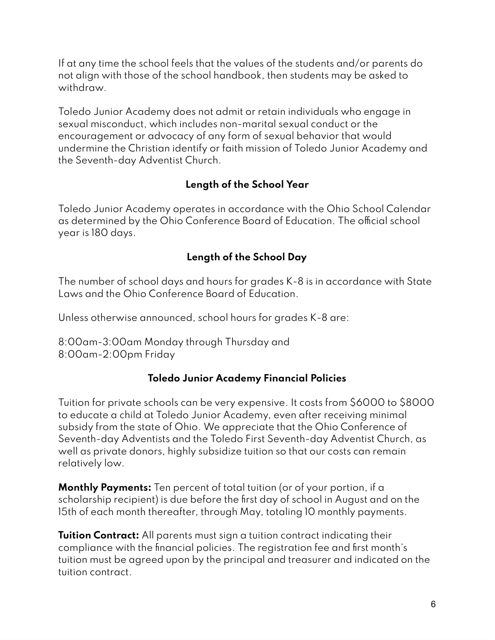If at any time the school feels that the values of the students and/or parents do not align with those of the school handbook, then students may be asked to withdraw.

Toledo Junior Academy does not admit or retain individuals who engage in sexual misconduct, which includes non-marital sexual conduct or the encouragement or advocacy of any form of sexual behavior that would undermine the Christian identify or faith mission of Toledo Junior Academy and the Seventh-day Adventist Church.

## **Length of the School Year**

Toledo Junior Academy operates in accordance with the Ohio School Calendar as determined by the Ohio Conference Board of Education. The official school year is 180 days.

## **Length of the School Day**

The number of school days and hours for grades K-8 is in accordance with State Laws and the Ohio Conference Board of Education.

Unless otherwise announced, school hours for grades K-8 are:

8:00am-3:00am Monday through Thursday and 8:00am-2:00pm Friday

### **Toledo Junior Academy Financial Policies**

Tuition for private schools can be very expensive. It costs from \$6000 to \$8000 to educate a child at Toledo Junior Academy, even after receiving minimal subsidy from the state of Ohio. We appreciate that the Ohio Conference of Seventh-day Adventists and the Toledo First Seventh-day Adventist Church, as well as private donors, highly subsidize tuition so that our costs can remain relatively low.

**Monthly Payments:** Ten percent of total tuition (or of your portion, if a scholarship recipient) is due before the first day of school in August and on the 15th of each month thereafter, through May, totaling 10 monthly payments.

**Tuition Contract:** All parents must sign a tuition contract indicating their compliance with the financial policies. The registration fee and first month's tuition must be agreed upon by the principal and treasurer and indicated on the tuition contract.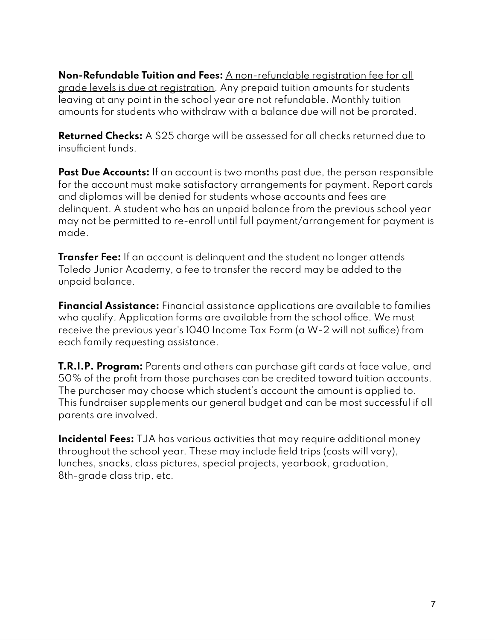**Non-Refundable Tuition and Fees:** A non-refundable registration fee for all grade levels is due at registration. Any prepaid tuition amounts for students leaving at any point in the school year are not refundable. Monthly tuition amounts for students who withdraw with a balance due will not be prorated.

**Returned Checks:** A \$25 charge will be assessed for all checks returned due to insufficient funds.

**Past Due Accounts:** If an account is two months past due, the person responsible for the account must make satisfactory arrangements for payment. Report cards and diplomas will be denied for students whose accounts and fees are delinquent. A student who has an unpaid balance from the previous school year may not be permitted to re-enroll until full payment/arrangement for payment is made.

**Transfer Fee:** If an account is delinquent and the student no longer attends Toledo Junior Academy, a fee to transfer the record may be added to the unpaid balance.

**Financial Assistance:** Financial assistance applications are available to families who qualify. Application forms are available from the school office. We must receive the previous year's 1040 Income Tax Form (a W-2 will not suffice) from each family requesting assistance.

**T.R.I.P. Program:** Parents and others can purchase gift cards at face value, and 50% of the profit from those purchases can be credited toward tuition accounts. The purchaser may choose which student's account the amount is applied to. This fundraiser supplements our general budget and can be most successful if all parents are involved.

**Incidental Fees:** TJA has various activities that may require additional money throughout the school year. These may include field trips (costs will vary), lunches, snacks, class pictures, special projects, yearbook, graduation, 8th-grade class trip, etc.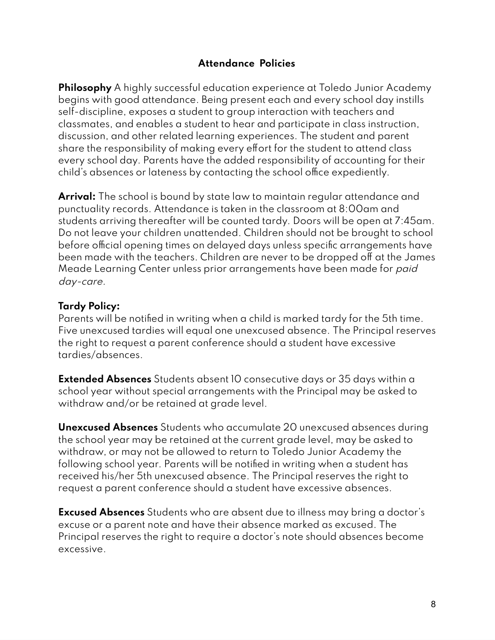### **Attendance Policies**

**Philosophy** A highly successful education experience at Toledo Junior Academy begins with good attendance. Being present each and every school day instills self-discipline, exposes a student to group interaction with teachers and classmates, and enables a student to hear and participate in class instruction, discussion, and other related learning experiences. The student and parent share the responsibility of making every effort for the student to attend class every school day. Parents have the added responsibility of accounting for their child's absences or lateness by contacting the school office expediently.

**Arrival:** The school is bound by state law to maintain regular attendance and punctuality records. Attendance is taken in the classroom at 8:00am and students arriving thereafter will be counted tardy. Doors will be open at 7:45am. Do not leave your children unattended. Children should not be brought to school before official opening times on delayed days unless specific arrangements have been made with the teachers. Children are never to be dropped off at the James Meade Learning Center unless prior arrangements have been made for paid day-care.

#### **Tardy Policy:**

Parents will be notified in writing when a child is marked tardy for the 5th time. Five unexcused tardies will equal one unexcused absence. The Principal reserves the right to request a parent conference should a student have excessive tardies/absences.

**Extended Absences** Students absent 10 consecutive days or 35 days within a school year without special arrangements with the Principal may be asked to withdraw and/or be retained at grade level.

**Unexcused Absences** Students who accumulate 20 unexcused absences during the school year may be retained at the current grade level, may be asked to withdraw, or may not be allowed to return to Toledo Junior Academy the following school year. Parents will be notified in writing when a student has received his/her 5th unexcused absence. The Principal reserves the right to request a parent conference should a student have excessive absences.

**Excused Absences** Students who are absent due to illness may bring a doctor's excuse or a parent note and have their absence marked as excused. The Principal reserves the right to require a doctor's note should absences become excessive.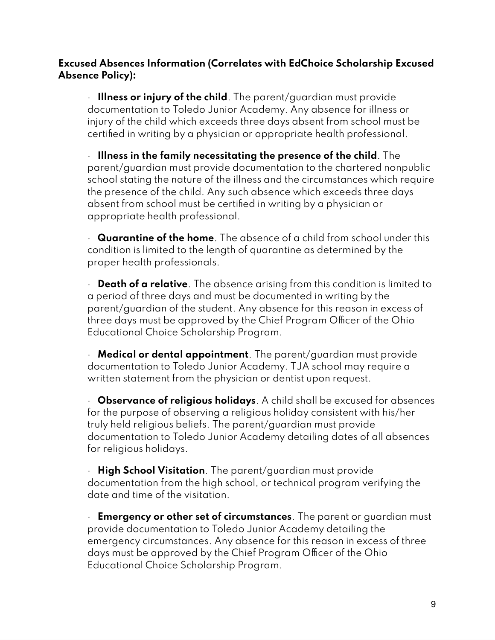### **Excused Absences Information (Correlates with EdChoice Scholarship Excused Absence Policy):**

· **Illness or injury of the child**. The parent/guardian must provide documentation to Toledo Junior Academy. Any absence for illness or injury of the child which exceeds three days absent from school must be certified in writing by a physician or appropriate health professional.

· **Illness in the family necessitating the presence of the child**. The parent/guardian must provide documentation to the chartered nonpublic school stating the nature of the illness and the circumstances which require the presence of the child. Any such absence which exceeds three days absent from school must be certified in writing by a physician or appropriate health professional.

· **Quarantine of the home**. The absence of a child from school under this condition is limited to the length of quarantine as determined by the proper health professionals.

· **Death of a relative**. The absence arising from this condition is limited to a period of three days and must be documented in writing by the parent/guardian of the student. Any absence for this reason in excess of three days must be approved by the Chief Program Officer of the Ohio Educational Choice Scholarship Program.

· **Medical or dental appointment**. The parent/guardian must provide documentation to Toledo Junior Academy. TJA school may require a written statement from the physician or dentist upon request.

· **Observance of religious holidays**. A child shall be excused for absences for the purpose of observing a religious holiday consistent with his/her truly held religious beliefs. The parent/guardian must provide documentation to Toledo Junior Academy detailing dates of all absences for religious holidays.

· **High School Visitation**. The parent/guardian must provide documentation from the high school, or technical program verifying the date and time of the visitation.

· **Emergency or other set of circumstances**. The parent or guardian must provide documentation to Toledo Junior Academy detailing the emergency circumstances. Any absence for this reason in excess of three days must be approved by the Chief Program Officer of the Ohio Educational Choice Scholarship Program.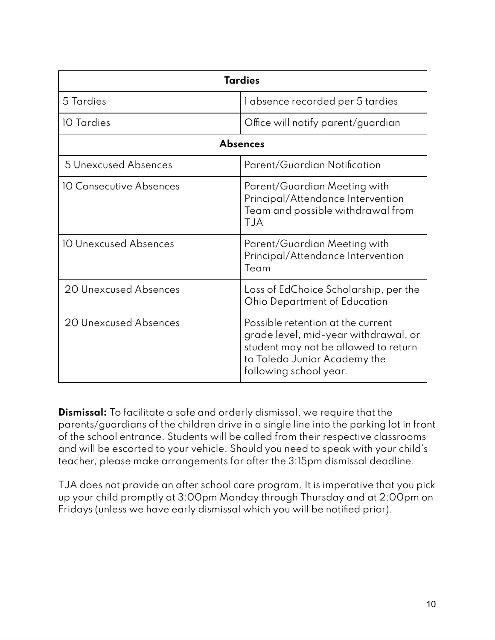| <b>Tardies</b>               |                                                                                                                                                                             |  |
|------------------------------|-----------------------------------------------------------------------------------------------------------------------------------------------------------------------------|--|
| 5 Tardies                    | l absence recorded per 5 tardies                                                                                                                                            |  |
| 10 Tardies                   | Office will notify parent/guardian                                                                                                                                          |  |
| <b>Absences</b>              |                                                                                                                                                                             |  |
| 5 Unexcused Absences         | Parent/Guardian Notification                                                                                                                                                |  |
| 10 Consecutive Absences      | Parent/Guardian Meeting with<br>Principal/Attendance Intervention<br>Team and possible withdrawal from<br><b>TJA</b>                                                        |  |
| <b>10 Unexcused Absences</b> | Parent/Guardian Meeting with<br>Principal/Attendance Intervention<br>Team                                                                                                   |  |
| 20 Unexcused Absences        | Loss of EdChoice Scholarship, per the<br><b>Ohio Department of Education</b>                                                                                                |  |
| 20 Unexcused Absences        | Possible retention at the current<br>grade level, mid-year withdrawal, or<br>student may not be allowed to return<br>to Toledo Junior Academy the<br>following school year. |  |

**Dismissal:** To facilitate a safe and orderly dismissal, we require that the parents/guardians of the children drive in a single line into the parking lot in front of the school entrance. Students will be called from their respective classrooms and will be escorted to your vehicle. Should you need to speak with your child's teacher, please make arrangements for after the 3:15pm dismissal deadline.

TJA does not provide an after school care program. It is imperative that you pick up your child promptly at 3:00pm Monday through Thursday and at 2:00pm on Fridays (unless we have early dismissal which you will be notified prior).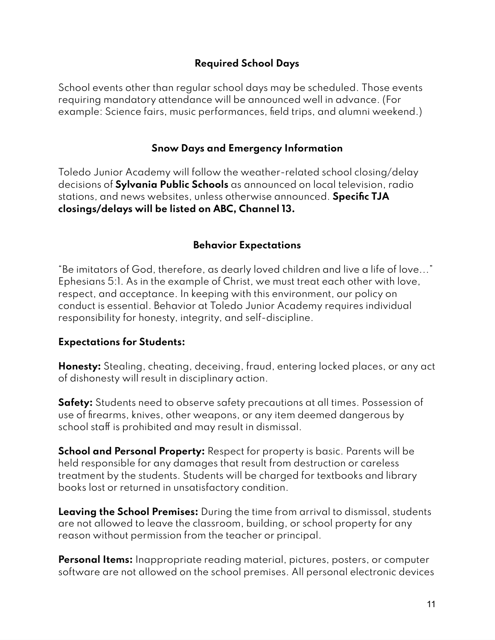### **Required School Days**

School events other than regular school days may be scheduled. Those events requiring mandatory attendance will be announced well in advance. (For example: Science fairs, music performances, field trips, and alumni weekend.)

### **Snow Days and Emergency Information**

Toledo Junior Academy will follow the weather-related school closing/delay decisions of **Sylvania Public Schools** as announced on local television, radio stations, and news websites, unless otherwise announced. **Specific TJA closings/delays will be listed on ABC, Channel 13.**

### **Behavior Expectations**

"Be imitators of God, therefore, as dearly loved children and live a life of love..." Ephesians 5:1. As in the example of Christ, we must treat each other with love, respect, and acceptance. In keeping with this environment, our policy on conduct is essential. Behavior at Toledo Junior Academy requires individual responsibility for honesty, integrity, and self-discipline.

### **Expectations for Students:**

**Honesty:** Stealing, cheating, deceiving, fraud, entering locked places, or any act of dishonesty will result in disciplinary action.

**Safety:** Students need to observe safety precautions at all times. Possession of use of firearms, knives, other weapons, or any item deemed dangerous by school staff is prohibited and may result in dismissal.

**School and Personal Property:** Respect for property is basic. Parents will be held responsible for any damages that result from destruction or careless treatment by the students. Students will be charged for textbooks and library books lost or returned in unsatisfactory condition.

**Leaving the School Premises:** During the time from arrival to dismissal, students are not allowed to leave the classroom, building, or school property for any reason without permission from the teacher or principal.

**Personal Items:** Inappropriate reading material, pictures, posters, or computer software are not allowed on the school premises. All personal electronic devices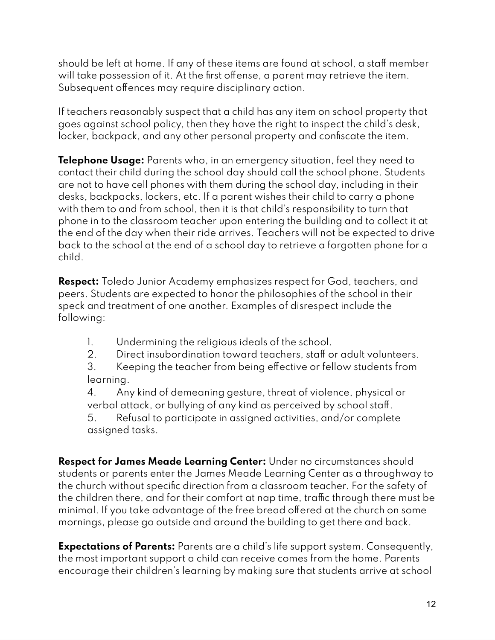should be left at home. If any of these items are found at school, a staff member will take possession of it. At the first offense, a parent may retrieve the item. Subsequent offences may require disciplinary action.

If teachers reasonably suspect that a child has any item on school property that goes against school policy, then they have the right to inspect the child's desk, locker, backpack, and any other personal property and confiscate the item.

**Telephone Usage:** Parents who, in an emergency situation, feel they need to contact their child during the school day should call the school phone. Students are not to have cell phones with them during the school day, including in their desks, backpacks, lockers, etc. If a parent wishes their child to carry a phone with them to and from school, then it is that child's responsibility to turn that phone in to the classroom teacher upon entering the building and to collect it at the end of the day when their ride arrives. Teachers will not be expected to drive back to the school at the end of a school day to retrieve a forgotten phone for a child.

**Respect:** Toledo Junior Academy emphasizes respect for God, teachers, and peers. Students are expected to honor the philosophies of the school in their speck and treatment of one another. Examples of disrespect include the following:

- 1. Undermining the religious ideals of the school.
- 2. Direct insubordination toward teachers, staff or adult volunteers.

3. Keeping the teacher from being effective or fellow students from learning.

4. Any kind of demeaning gesture, threat of violence, physical or verbal attack, or bullying of any kind as perceived by school staff.

5. Refusal to participate in assigned activities, and/or complete assigned tasks.

**Respect for James Meade Learning Center:** Under no circumstances should students or parents enter the James Meade Learning Center as a throughway to the church without specific direction from a classroom teacher. For the safety of the children there, and for their comfort at nap time, traffic through there must be minimal. If you take advantage of the free bread offered at the church on some mornings, please go outside and around the building to get there and back.

**Expectations of Parents:** Parents are a child's life support system. Consequently, the most important support a child can receive comes from the home. Parents encourage their children's learning by making sure that students arrive at school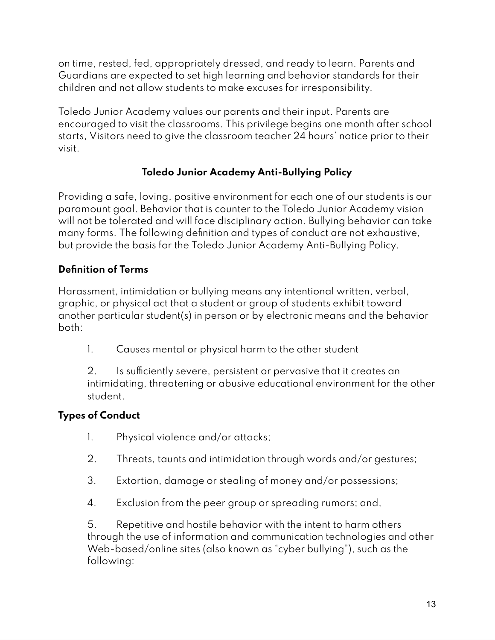on time, rested, fed, appropriately dressed, and ready to learn. Parents and Guardians are expected to set high learning and behavior standards for their children and not allow students to make excuses for irresponsibility.

Toledo Junior Academy values our parents and their input. Parents are encouraged to visit the classrooms. This privilege begins one month after school starts, Visitors need to give the classroom teacher 24 hours' notice prior to their visit.

## **Toledo Junior Academy Anti-Bullying Policy**

Providing a safe, loving, positive environment for each one of our students is our paramount goal. Behavior that is counter to the Toledo Junior Academy vision will not be tolerated and will face disciplinary action. Bullying behavior can take many forms. The following definition and types of conduct are not exhaustive, but provide the basis for the Toledo Junior Academy Anti-Bullying Policy.

### **Definition of Terms**

Harassment, intimidation or bullying means any intentional written, verbal, graphic, or physical act that a student or group of students exhibit toward another particular student(s) in person or by electronic means and the behavior both:

1. Causes mental or physical harm to the other student

2. Is sufficiently severe, persistent or pervasive that it creates an intimidating, threatening or abusive educational environment for the other student.

## **Types of Conduct**

- 1. Physical violence and/or attacks;
- 2. Threats, taunts and intimidation through words and/or gestures;
- 3. Extortion, damage or stealing of money and/or possessions;
- 4. Exclusion from the peer group or spreading rumors; and,

5. Repetitive and hostile behavior with the intent to harm others through the use of information and communication technologies and other Web-based/online sites (also known as "cyber bullying"), such as the following: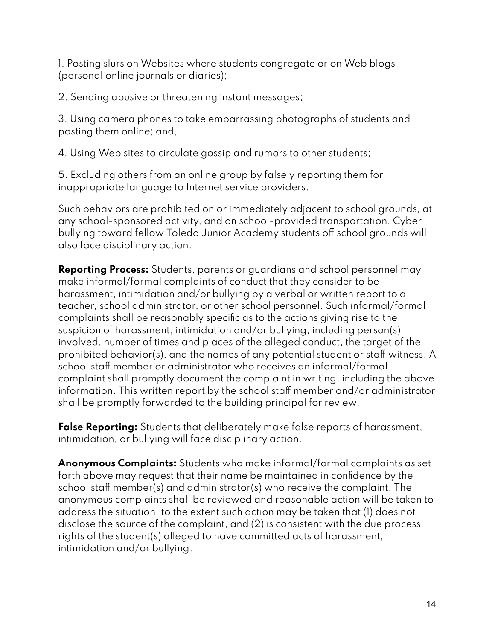1. Posting slurs on Websites where students congregate or on Web blogs (personal online journals or diaries);

2. Sending abusive or threatening instant messages;

3. Using camera phones to take embarrassing photographs of students and posting them online; and,

4. Using Web sites to circulate gossip and rumors to other students;

5. Excluding others from an online group by falsely reporting them for inappropriate language to Internet service providers.

Such behaviors are prohibited on or immediately adjacent to school grounds, at any school-sponsored activity, and on school-provided transportation. Cyber bullying toward fellow Toledo Junior Academy students off school grounds will also face disciplinary action.

**Reporting Process:** Students, parents or guardians and school personnel may make informal/formal complaints of conduct that they consider to be harassment, intimidation and/or bullying by a verbal or written report to a teacher, school administrator, or other school personnel. Such informal/formal complaints shall be reasonably specific as to the actions giving rise to the suspicion of harassment, intimidation and/or bullying, including person(s) involved, number of times and places of the alleged conduct, the target of the prohibited behavior(s), and the names of any potential student or staff witness. A school staff member or administrator who receives an informal/formal complaint shall promptly document the complaint in writing, including the above information. This written report by the school staff member and/or administrator shall be promptly forwarded to the building principal for review.

**False Reporting:** Students that deliberately make false reports of harassment, intimidation, or bullying will face disciplinary action.

**Anonymous Complaints:** Students who make informal/formal complaints as set forth above may request that their name be maintained in confidence by the school staff member(s) and administrator(s) who receive the complaint. The anonymous complaints shall be reviewed and reasonable action will be taken to address the situation, to the extent such action may be taken that (1) does not disclose the source of the complaint, and (2) is consistent with the due process rights of the student(s) alleged to have committed acts of harassment, intimidation and/or bullying.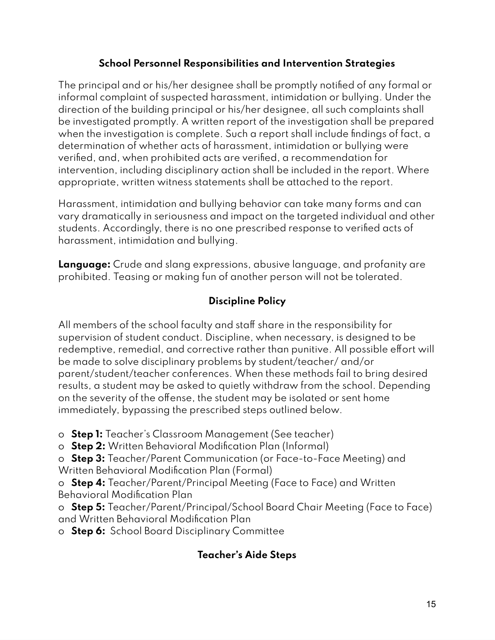### **School Personnel Responsibilities and Intervention Strategies**

The principal and or his/her designee shall be promptly notified of any formal or informal complaint of suspected harassment, intimidation or bullying. Under the direction of the building principal or his/her designee, all such complaints shall be investigated promptly. A written report of the investigation shall be prepared when the investigation is complete. Such a report shall include findings of fact, a determination of whether acts of harassment, intimidation or bullying were verified, and, when prohibited acts are verified, a recommendation for intervention, including disciplinary action shall be included in the report. Where appropriate, written witness statements shall be attached to the report.

Harassment, intimidation and bullying behavior can take many forms and can vary dramatically in seriousness and impact on the targeted individual and other students. Accordingly, there is no one prescribed response to verified acts of harassment, intimidation and bullying.

**Language:** Crude and slang expressions, abusive language, and profanity are prohibited. Teasing or making fun of another person will not be tolerated.

## **Discipline Policy**

All members of the school faculty and staff share in the responsibility for supervision of student conduct. Discipline, when necessary, is designed to be redemptive, remedial, and corrective rather than punitive. All possible effort will be made to solve disciplinary problems by student/teacher/ and/or parent/student/teacher conferences. When these methods fail to bring desired results, a student may be asked to quietly withdraw from the school. Depending on the severity of the offense, the student may be isolated or sent home immediately, bypassing the prescribed steps outlined below.

o **Step 1:** Teacher's Classroom Management (See teacher)

o **Step 2:** Written Behavioral Modification Plan (Informal)

o **Step 3:** Teacher/Parent Communication (or Face-to-Face Meeting) and Written Behavioral Modification Plan (Formal)

o **Step 4:** Teacher/Parent/Principal Meeting (Face to Face) and Written Behavioral Modification Plan

o **Step 5:** Teacher/Parent/Principal/School Board Chair Meeting (Face to Face) and Written Behavioral Modification Plan

o **Step 6:** School Board Disciplinary Committee

## **Teacher's Aide Steps**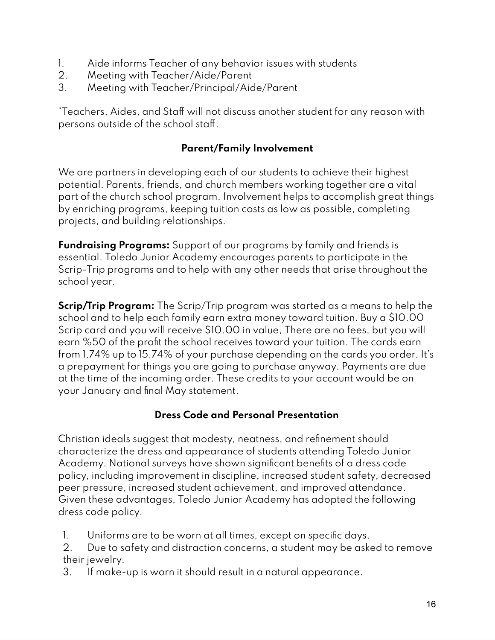- 1. Aide informs Teacher of any behavior issues with students
- 2. Meeting with Teacher/Aide/Parent
- 3. Meeting with Teacher/Principal/Aide/Parent

\*Teachers, Aides, and Staff will not discuss another student for any reason with persons outside of the school staff.

### **Parent/Family Involvement**

We are partners in developing each of our students to achieve their highest potential. Parents, friends, and church members working together are a vital part of the church school program. Involvement helps to accomplish great things by enriching programs, keeping tuition costs as low as possible, completing projects, and building relationships.

**Fundraising Programs:** Support of our programs by family and friends is essential. Toledo Junior Academy encourages parents to participate in the Scrip-Trip programs and to help with any other needs that arise throughout the school year.

**Scrip/Trip Program:** The Scrip/Trip program was started as a means to help the school and to help each family earn extra money toward tuition. Buy a \$10.00 Scrip card and you will receive \$10.00 in value, There are no fees, but you will earn %50 of the profit the school receives toward your tuition. The cards earn from 1.74% up to 15.74% of your purchase depending on the cards you order. It's a prepayment for things you are going to purchase anyway. Payments are due at the time of the incoming order. These credits to your account would be on your January and final May statement.

### **Dress Code and Personal Presentation**

Christian ideals suggest that modesty, neatness, and refinement should characterize the dress and appearance of students attending Toledo Junior Academy. National surveys have shown significant benefits of a dress code policy, including improvement in discipline, increased student safety, decreased peer pressure, increased student achievement, and improved attendance. Given these advantages, Toledo Junior Academy has adopted the following dress code policy.

- 1. Uniforms are to be worn at all times, except on specific days.
- 2. Due to safety and distraction concerns, a student may be asked to remove their jewelry.
- 3. If make-up is worn it should result in a natural appearance.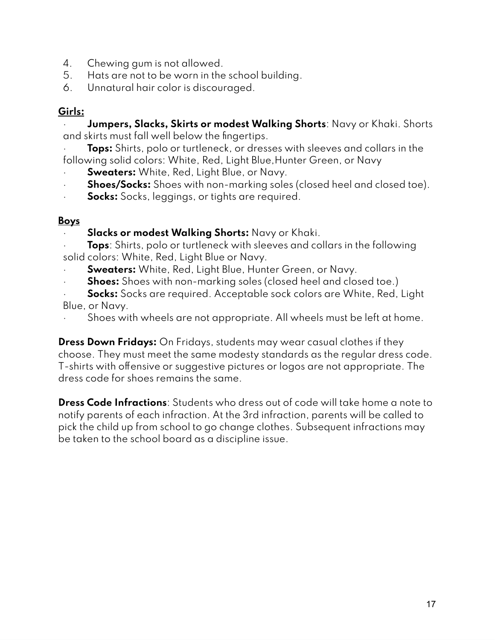- 4. Chewing gum is not allowed.
- 5. Hats are not to be worn in the school building.
- 6. Unnatural hair color is discouraged.

## **Girls:**

· **Jumpers, Slacks, Skirts or modest Walking Shorts**: Navy or Khaki. Shorts and skirts must fall well below the fingertips.

· **Tops:** Shirts, polo or turtleneck, or dresses with sleeves and collars in the following solid colors: White, Red, Light Blue,Hunter Green, or Navy

- **Sweaters:** White, Red, Light Blue, or Navy.
- · **Shoes/Socks:** Shoes with non-marking soles (closed heel and closed toe).
- **Socks:** Socks, leggings, or tights are required.

## **Boys**

- · **Slacks or modest Walking Shorts:** Navy or Khaki.
- · **Tops**: Shirts, polo or turtleneck with sleeves and collars in the following solid colors: White, Red, Light Blue or Navy.
- **Sweaters:** White, Red, Light Blue, Hunter Green, or Navy.
- **Shoes:** Shoes with non-marking soles (closed heel and closed toe.)
- **Socks:** Socks are required. Acceptable sock colors are White, Red, Light Blue, or Navy.
- Shoes with wheels are not appropriate. All wheels must be left at home.

**Dress Down Fridays:** On Fridays, students may wear casual clothes if they choose. They must meet the same modesty standards as the regular dress code. T-shirts with offensive or suggestive pictures or logos are not appropriate. The dress code for shoes remains the same.

**Dress Code Infractions**: Students who dress out of code will take home a note to notify parents of each infraction. At the 3rd infraction, parents will be called to pick the child up from school to go change clothes. Subsequent infractions may be taken to the school board as a discipline issue.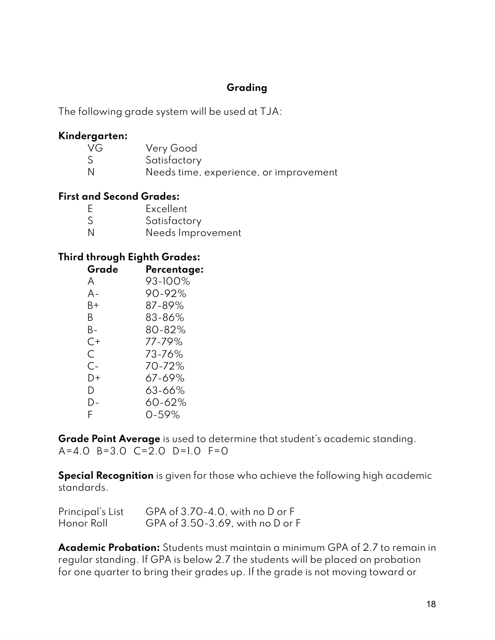### **Grading**

The following grade system will be used at TJA:

#### **Kindergarten:**

| VG. | Very Good                              |
|-----|----------------------------------------|
| S   | Satisfactory                           |
| N   | Needs time, experience, or improvement |

#### **First and Second Grades:**

| Ε | Excellent         |
|---|-------------------|
| S | Satisfactory      |
| N | Needs Improvement |

#### **Third through Eighth Grades:**

| Grade | Percentage: |
|-------|-------------|
| A     | 93-100%     |
| А-    | 90-92%      |
| B+    | 87-89%      |
| B     | 83-86%      |
| В-    | 80-82%      |
| C+    | 77-79%      |
| C     | 73-76%      |
| $C-$  | 70-72%      |
| D+    | $67 - 69%$  |
| D     | $63 - 66%$  |
| D-    | 60-62%      |
| F     | $0 - 59%$   |

**Grade Point Average** is used to determine that student's academic standing.  $A=4.0$  B=3.0 C=2.0 D=1.0 F=0

**Special Recognition** is given for those who achieve the following high academic standards.

| Principal's List | GPA of $3.70-4.0$ , with no D or F |
|------------------|------------------------------------|
| Honor Roll       | GPA of 3.50-3.69, with no D or F   |

**Academic Probation:** Students must maintain a minimum GPA of 2.7 to remain in regular standing. If GPA is below 2.7 the students will be placed on probation for one quarter to bring their grades up. If the grade is not moving toward or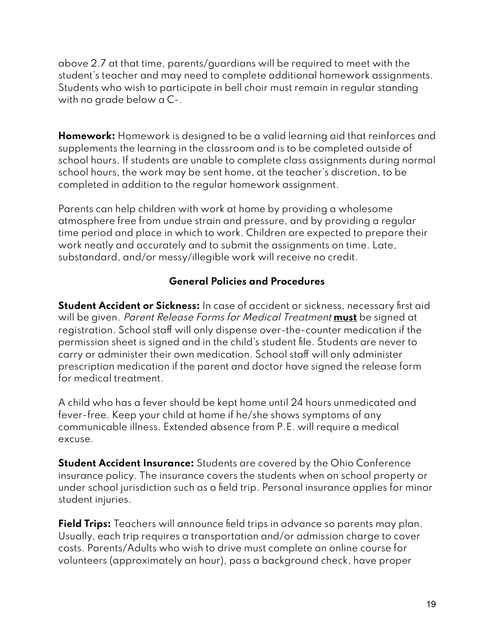above 2.7 at that time, parents/guardians will be required to meet with the student's teacher and may need to complete additional homework assignments. Students who wish to participate in bell choir must remain in regular standing with no grade below a C-.

**Homework:** Homework is designed to be a valid learning aid that reinforces and supplements the learning in the classroom and is to be completed outside of school hours. If students are unable to complete class assignments during normal school hours, the work may be sent home, at the teacher's discretion, to be completed in addition to the regular homework assignment.

Parents can help children with work at home by providing a wholesome atmosphere free from undue strain and pressure, and by providing a regular time period and place in which to work. Children are expected to prepare their work neatly and accurately and to submit the assignments on time. Late, substandard, and/or messy/illegible work will receive no credit.

### **General Policies and Procedures**

**Student Accident or Sickness:** In case of accident or sickness, necessary first aid will be given. Parent Release Forms for Medical Treatment **must** be signed at registration. School staff will only dispense over-the-counter medication if the permission sheet is signed and in the child's student file. Students are never to carry or administer their own medication. School staff will only administer prescription medication if the parent and doctor have signed the release form for medical treatment.

A child who has a fever should be kept home until 24 hours unmedicated and fever-free. Keep your child at home if he/she shows symptoms of any communicable illness. Extended absence from P.E. will require a medical excuse.

**Student Accident Insurance:** Students are covered by the Ohio Conference insurance policy. The insurance covers the students when on school property or under school jurisdiction such as a field trip. Personal insurance applies for minor student injuries.

**Field Trips:** Teachers will announce field trips in advance so parents may plan. Usually, each trip requires a transportation and/or admission charge to cover costs. Parents/Adults who wish to drive must complete an online course for volunteers (approximately an hour), pass a background check, have proper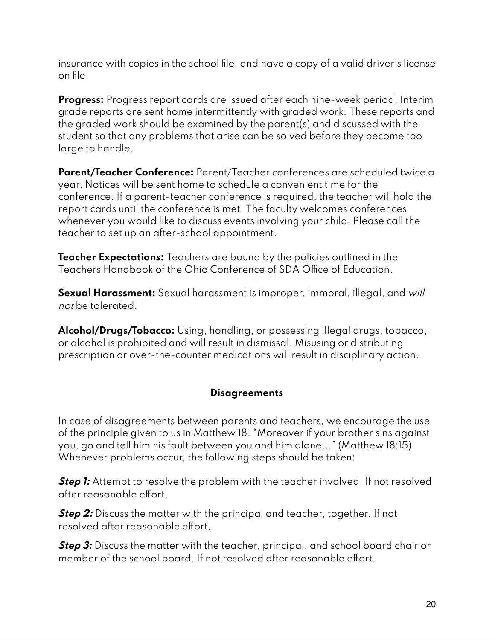insurance with copies in the school file, and have a copy of a valid driver's license on file.

**Progress:** Progress report cards are issued after each nine-week period. Interim grade reports are sent home intermittently with graded work. These reports and the graded work should be examined by the parent(s) and discussed with the student so that any problems that arise can be solved before they become too large to handle.

**Parent/Teacher Conference:** Parent/Teacher conferences are scheduled twice a year. Notices will be sent home to schedule a convenient time for the conference. If a parent-teacher conference is required, the teacher will hold the report cards until the conference is met. The faculty welcomes conferences whenever you would like to discuss events involving your child. Please call the teacher to set up an after-school appointment.

**Teacher Expectations:** Teachers are bound by the policies outlined in the Teachers Handbook of the Ohio Conference of SDA Office of Education.

**Sexual Harassment:** Sexual harassment is improper, immoral, illegal, and will not be tolerated.

**Alcohol/Drugs/Tobacco:** Using, handling, or possessing illegal drugs, tobacco, or alcohol is prohibited and will result in dismissal. Misusing or distributing prescription or over-the-counter medications will result in disciplinary action.

### **Disagreements**

In case of disagreements between parents and teachers, we encourage the use of the principle given to us in Matthew 18. "Moreover if your brother sins against you, go and tell him his fault between you and him alone..." (Matthew 18:15) Whenever problems occur, the following steps should be taken:

**Step 1:** Attempt to resolve the problem with the teacher involved. If not resolved after reasonable effort,

**Step 2:** Discuss the matter with the principal and teacher, together. If not resolved after reasonable effort,

**Step 3:** Discuss the matter with the teacher, principal, and school board chair or member of the school board. If not resolved after reasonable effort,